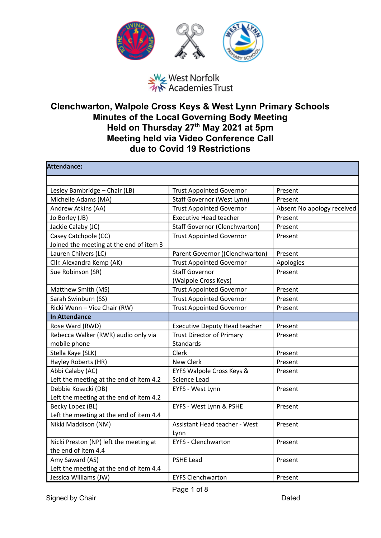

## West Norfolk<br>West Norfolk<br>We Academies Trust

## **Clenchwarton, Walpole Cross Keys & West Lynn Primary Schools Minutes of the Local Governing Body Meeting Held on Thursday 27 th May 2021 at 5pm Meeting held via Video Conference Call due to Covid 19 Restrictions**

| Attendance:                             |                                      |                            |
|-----------------------------------------|--------------------------------------|----------------------------|
|                                         |                                      |                            |
| Lesley Bambridge - Chair (LB)           | <b>Trust Appointed Governor</b>      | Present                    |
| Michelle Adams (MA)                     | Staff Governor (West Lynn)           | Present                    |
| Andrew Atkins (AA)                      | <b>Trust Appointed Governor</b>      | Absent No apology received |
| Jo Borley (JB)                          | <b>Executive Head teacher</b>        | Present                    |
| Jackie Calaby (JC)                      | <b>Staff Governor (Clenchwarton)</b> | Present                    |
| Casey Catchpole (CC)                    | <b>Trust Appointed Governor</b>      | Present                    |
| Joined the meeting at the end of item 3 |                                      |                            |
| Lauren Chilvers (LC)                    | Parent Governor ((Clenchwarton)      | Present                    |
| Cllr. Alexandra Kemp (AK)               | <b>Trust Appointed Governor</b>      | Apologies                  |
| Sue Robinson (SR)                       | <b>Staff Governor</b>                | Present                    |
|                                         | (Walpole Cross Keys)                 |                            |
| Matthew Smith (MS)                      | <b>Trust Appointed Governor</b>      | Present                    |
| Sarah Swinburn (SS)                     | <b>Trust Appointed Governor</b>      | Present                    |
| Ricki Wenn - Vice Chair (RW)            | <b>Trust Appointed Governor</b>      | Present                    |
| <b>In Attendance</b>                    |                                      |                            |
| Rose Ward (RWD)                         | <b>Executive Deputy Head teacher</b> | Present                    |
| Rebecca Walker (RWR) audio only via     | <b>Trust Director of Primary</b>     | Present                    |
| mobile phone                            | <b>Standards</b>                     |                            |
| Stella Kaye (SLK)                       | Clerk                                | Present                    |
| Hayley Roberts (HR)                     | <b>New Clerk</b>                     | Present                    |
| Abbi Calaby (AC)                        | EYFS Walpole Cross Keys &            | Present                    |
| Left the meeting at the end of item 4.2 | Science Lead                         |                            |
| Debbie Kosecki (DB)                     | EYFS - West Lynn                     | Present                    |
| Left the meeting at the end of item 4.2 |                                      |                            |
| Becky Lopez (BL)                        | EYFS - West Lynn & PSHE              | Present                    |
| Left the meeting at the end of item 4.4 |                                      |                            |
| Nikki Maddison (NM)                     | <b>Assistant Head teacher - West</b> | Present                    |
|                                         | Lynn                                 |                            |
| Nicki Preston (NP) left the meeting at  | <b>EYFS - Clenchwarton</b>           | Present                    |
| the end of item 4.4                     |                                      |                            |
| Amy Saward (AS)                         | <b>PSHE Lead</b>                     | Present                    |
| Left the meeting at the end of item 4.4 |                                      |                            |
| Jessica Williams (JW)                   | <b>EYFS Clenchwarton</b>             | Present                    |

Signed by Chair **Dated**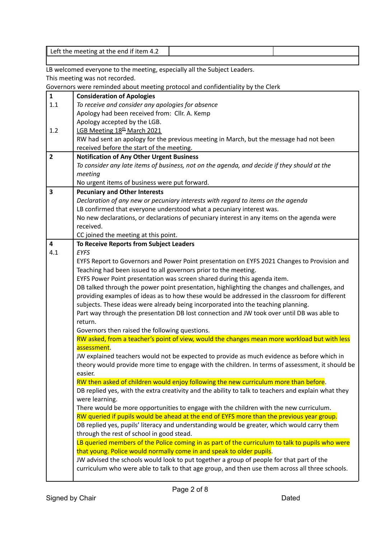|                                | Left the meeting at the end if item 4.2                                                                                                                                  |
|--------------------------------|--------------------------------------------------------------------------------------------------------------------------------------------------------------------------|
|                                |                                                                                                                                                                          |
|                                | LB welcomed everyone to the meeting, especially all the Subject Leaders.                                                                                                 |
|                                | This meeting was not recorded.                                                                                                                                           |
|                                | Governors were reminded about meeting protocol and confidentiality by the Clerk                                                                                          |
| $\mathbf{1}$                   | <b>Consideration of Apologies</b>                                                                                                                                        |
| 1.1                            | To receive and consider any apologies for absence                                                                                                                        |
|                                | Apology had been received from: Cllr. A. Kemp                                                                                                                            |
|                                | Apology accepted by the LGB.                                                                                                                                             |
| 1.2                            | LGB Meeting 18th March 2021                                                                                                                                              |
|                                | RW had sent an apology for the previous meeting in March, but the message had not been                                                                                   |
|                                | received before the start of the meeting.                                                                                                                                |
| $\overline{2}$                 | <b>Notification of Any Other Urgent Business</b>                                                                                                                         |
|                                | To consider any late items of business, not on the agenda, and decide if they should at the                                                                              |
|                                | meeting                                                                                                                                                                  |
|                                | No urgent items of business were put forward.                                                                                                                            |
| 3                              | <b>Pecuniary and Other Interests</b>                                                                                                                                     |
|                                | Declaration of any new or pecuniary interests with regard to items on the agenda                                                                                         |
|                                | LB confirmed that everyone understood what a pecuniary interest was.                                                                                                     |
|                                | No new declarations, or declarations of pecuniary interest in any items on the agenda were                                                                               |
|                                | received.                                                                                                                                                                |
|                                | CC joined the meeting at this point.                                                                                                                                     |
| $\overline{\mathbf{4}}$<br>4.1 | To Receive Reports from Subject Leaders                                                                                                                                  |
|                                | <b>EYFS</b>                                                                                                                                                              |
|                                | EYFS Report to Governors and Power Point presentation on EYFS 2021 Changes to Provision and<br>Teaching had been issued to all governors prior to the meeting.           |
|                                |                                                                                                                                                                          |
|                                | EYFS Power Point presentation was screen shared during this agenda item.<br>DB talked through the power point presentation, highlighting the changes and challenges, and |
|                                | providing examples of ideas as to how these would be addressed in the classroom for different                                                                            |
|                                | subjects. These ideas were already being incorporated into the teaching planning.                                                                                        |
|                                | Part way through the presentation DB lost connection and JW took over until DB was able to                                                                               |
|                                | return.                                                                                                                                                                  |
|                                | Governors then raised the following questions.                                                                                                                           |
|                                | RW asked, from a teacher's point of view, would the changes mean more workload but with less                                                                             |
|                                | assessment.                                                                                                                                                              |
|                                | JW explained teachers would not be expected to provide as much evidence as before which in                                                                               |
|                                | theory would provide more time to engage with the children. In terms of assessment, it should be                                                                         |
|                                | easier.                                                                                                                                                                  |
|                                | RW then asked of children would enjoy following the new curriculum more than before.                                                                                     |
|                                | DB replied yes, with the extra creativity and the ability to talk to teachers and explain what they                                                                      |
|                                | were learning.                                                                                                                                                           |
|                                | There would be more opportunities to engage with the children with the new curriculum.                                                                                   |
|                                | RW queried if pupils would be ahead at the end of EYFS more than the previous year group.                                                                                |
|                                | DB replied yes, pupils' literacy and understanding would be greater, which would carry them                                                                              |
|                                | through the rest of school in good stead.                                                                                                                                |
|                                | LB queried members of the Police coming in as part of the curriculum to talk to pupils who were                                                                          |
|                                | that young. Police would normally come in and speak to older pupils.                                                                                                     |
|                                | JW advised the schools would look to put together a group of people for that part of the                                                                                 |
|                                | curriculum who were able to talk to that age group, and then use them across all three schools.                                                                          |
|                                |                                                                                                                                                                          |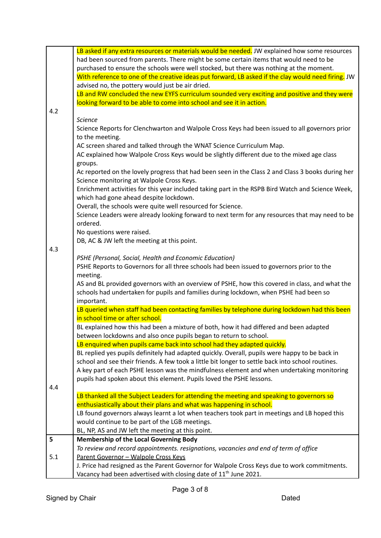|     | LB asked if any extra resources or materials would be needed. JW explained how some resources       |
|-----|-----------------------------------------------------------------------------------------------------|
|     | had been sourced from parents. There might be some certain items that would need to be              |
|     | purchased to ensure the schools were well stocked, but there was nothing at the moment.             |
|     | With reference to one of the creative ideas put forward, LB asked if the clay would need firing. JW |
|     | advised no, the pottery would just be air dried.                                                    |
|     | LB and RW concluded the new EYFS curriculum sounded very exciting and positive and they were        |
|     | looking forward to be able to come into school and see it in action.                                |
| 4.2 |                                                                                                     |
|     | <b>Science</b>                                                                                      |
|     | Science Reports for Clenchwarton and Walpole Cross Keys had been issued to all governors prior      |
|     | to the meeting.                                                                                     |
|     | AC screen shared and talked through the WNAT Science Curriculum Map.                                |
|     | AC explained how Walpole Cross Keys would be slightly different due to the mixed age class          |
|     | groups.                                                                                             |
|     | Ac reported on the lovely progress that had been seen in the Class 2 and Class 3 books during her   |
|     | Science monitoring at Walpole Cross Keys.                                                           |
|     | Enrichment activities for this year included taking part in the RSPB Bird Watch and Science Week,   |
|     | which had gone ahead despite lockdown.                                                              |
|     | Overall, the schools were quite well resourced for Science.                                         |
|     | Science Leaders were already looking forward to next term for any resources that may need to be     |
|     | ordered.                                                                                            |
|     | No questions were raised.                                                                           |
|     | DB, AC & JW left the meeting at this point.                                                         |
| 4.3 |                                                                                                     |
|     | PSHE (Personal, Social, Health and Economic Education)                                              |
|     | PSHE Reports to Governors for all three schools had been issued to governors prior to the           |
|     | meeting.                                                                                            |
|     | AS and BL provided governors with an overview of PSHE, how this covered in class, and what the      |
|     | schools had undertaken for pupils and families during lockdown, when PSHE had been so               |
|     | important.                                                                                          |
|     | LB queried when staff had been contacting families by telephone during lockdown had this been       |
|     | in school time or after school.                                                                     |
|     | BL explained how this had been a mixture of both, how it had differed and been adapted              |
|     | between lockdowns and also once pupils began to return to school.                                   |
|     | LB enquired when pupils came back into school had they adapted quickly.                             |
|     | BL replied yes pupils definitely had adapted quickly. Overall, pupils were happy to be back in      |
|     | school and see their friends. A few took a little bit longer to settle back into school routines.   |
|     | A key part of each PSHE lesson was the mindfulness element and when undertaking monitoring          |
|     | pupils had spoken about this element. Pupils loved the PSHE lessons.                                |
| 4.4 | LB thanked all the Subject Leaders for attending the meeting and speaking to governors so           |
|     | enthusiastically about their plans and what was happening in school.                                |
|     | LB found governors always learnt a lot when teachers took part in meetings and LB hoped this        |
|     | would continue to be part of the LGB meetings.                                                      |
|     | BL, NP, AS and JW left the meeting at this point.                                                   |
| 5   | <b>Membership of the Local Governing Body</b>                                                       |
|     | To review and record appointments. resignations, vacancies and end of term of office                |
| 5.1 | Parent Governor - Walpole Cross Keys                                                                |
|     | J. Price had resigned as the Parent Governor for Walpole Cross Keys due to work commitments.        |
|     | Vacancy had been advertised with closing date of 11 <sup>th</sup> June 2021.                        |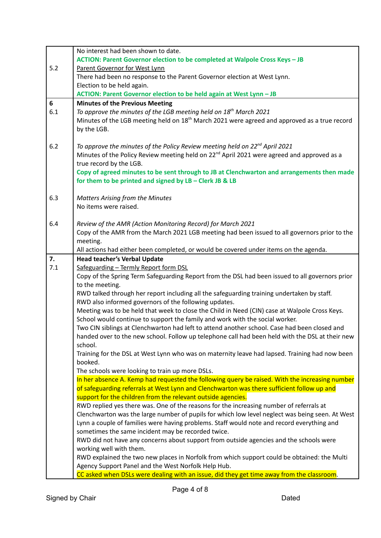|     | No interest had been shown to date.                                                                                                                          |
|-----|--------------------------------------------------------------------------------------------------------------------------------------------------------------|
|     | ACTION: Parent Governor election to be completed at Walpole Cross Keys - JB                                                                                  |
| 5.2 | Parent Governor for West Lynn                                                                                                                                |
|     | There had been no response to the Parent Governor election at West Lynn.                                                                                     |
|     | Election to be held again.                                                                                                                                   |
|     | ACTION: Parent Governor election to be held again at West Lynn - JB                                                                                          |
| 6   | <b>Minutes of the Previous Meeting</b>                                                                                                                       |
| 6.1 | To approve the minutes of the LGB meeting held on 18 <sup>th</sup> March 2021                                                                                |
|     | Minutes of the LGB meeting held on 18 <sup>th</sup> March 2021 were agreed and approved as a true record                                                     |
|     | by the LGB.                                                                                                                                                  |
|     |                                                                                                                                                              |
| 6.2 | To approve the minutes of the Policy Review meeting held on 22 <sup>nd</sup> April 2021                                                                      |
|     | Minutes of the Policy Review meeting held on 22 <sup>nd</sup> April 2021 were agreed and approved as a                                                       |
|     | true record by the LGB.                                                                                                                                      |
|     | Copy of agreed minutes to be sent through to JB at Clenchwarton and arrangements then made                                                                   |
|     | for them to be printed and signed by LB - Clerk JB & LB                                                                                                      |
|     |                                                                                                                                                              |
| 6.3 | <b>Matters Arising from the Minutes</b>                                                                                                                      |
|     | No items were raised.                                                                                                                                        |
| 6.4 |                                                                                                                                                              |
|     | Review of the AMR (Action Monitoring Record) for March 2021<br>Copy of the AMR from the March 2021 LGB meeting had been issued to all governors prior to the |
|     | meeting.                                                                                                                                                     |
|     | All actions had either been completed, or would be covered under items on the agenda.                                                                        |
| 7.  | <b>Head teacher's Verbal Update</b>                                                                                                                          |
| 7.1 | Safeguarding - Termly Report form DSL                                                                                                                        |
|     | Copy of the Spring Term Safeguarding Report from the DSL had been issued to all governors prior                                                              |
|     | to the meeting.                                                                                                                                              |
|     | RWD talked through her report including all the safeguarding training undertaken by staff.                                                                   |
|     | RWD also informed governors of the following updates.                                                                                                        |
|     | Meeting was to be held that week to close the Child in Need (CIN) case at Walpole Cross Keys.                                                                |
|     | School would continue to support the family and work with the social worker.                                                                                 |
|     | Two CIN siblings at Clenchwarton had left to attend another school. Case had been closed and                                                                 |
|     | handed over to the new school. Follow up telephone call had been held with the DSL at their new                                                              |
|     | school.                                                                                                                                                      |
|     | Training for the DSL at West Lynn who was on maternity leave had lapsed. Training had now been                                                               |
|     | booked.                                                                                                                                                      |
|     | The schools were looking to train up more DSLs.                                                                                                              |
|     | In her absence A. Kemp had requested the following query be raised. With the increasing number                                                               |
|     | of safeguarding referrals at West Lynn and Clenchwarton was there sufficient follow up and                                                                   |
|     | support for the children from the relevant outside agencies.                                                                                                 |
|     | RWD replied yes there was. One of the reasons for the increasing number of referrals at                                                                      |
|     | Clenchwarton was the large number of pupils for which low level neglect was being seen. At West                                                              |
|     | Lynn a couple of families were having problems. Staff would note and record everything and                                                                   |
|     | sometimes the same incident may be recorded twice.                                                                                                           |
|     | RWD did not have any concerns about support from outside agencies and the schools were                                                                       |
|     | working well with them.                                                                                                                                      |
|     | RWD explained the two new places in Norfolk from which support could be obtained: the Multi                                                                  |
|     | Agency Support Panel and the West Norfolk Help Hub.                                                                                                          |
|     | CC asked when DSLs were dealing with an issue, did they get time away from the classroom.                                                                    |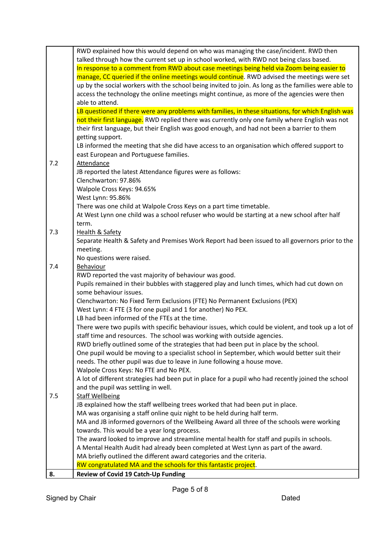|     | RWD explained how this would depend on who was managing the case/incident. RWD then                                                     |
|-----|-----------------------------------------------------------------------------------------------------------------------------------------|
|     | talked through how the current set up in school worked, with RWD not being class based.                                                 |
|     | In response to a comment from RWD about case meetings being held via Zoom being easier to                                               |
|     | manage, CC queried if the online meetings would continue. RWD advised the meetings were set                                             |
|     | up by the social workers with the school being invited to join. As long as the families were able to                                    |
|     | access the technology the online meetings might continue, as more of the agencies were then                                             |
|     | able to attend.                                                                                                                         |
|     | LB questioned if there were any problems with families, in these situations, for which English was                                      |
|     | not their first language. RWD replied there was currently only one family where English was not                                         |
|     | their first language, but their English was good enough, and had not been a barrier to them                                             |
|     | getting support.                                                                                                                        |
|     | LB informed the meeting that she did have access to an organisation which offered support to                                            |
|     | east European and Portuguese families.                                                                                                  |
| 7.2 | Attendance                                                                                                                              |
|     | JB reported the latest Attendance figures were as follows:                                                                              |
|     | Clenchwarton: 97.86%                                                                                                                    |
|     | Walpole Cross Keys: 94.65%                                                                                                              |
|     | West Lynn: 95.86%                                                                                                                       |
|     | There was one child at Walpole Cross Keys on a part time timetable.                                                                     |
|     | At West Lynn one child was a school refuser who would be starting at a new school after half                                            |
|     | term.                                                                                                                                   |
| 7.3 | <b>Health &amp; Safety</b>                                                                                                              |
|     | Separate Health & Safety and Premises Work Report had been issued to all governors prior to the                                         |
|     | meeting.                                                                                                                                |
|     | No questions were raised.                                                                                                               |
| 7.4 | Behaviour                                                                                                                               |
|     | RWD reported the vast majority of behaviour was good.                                                                                   |
|     | Pupils remained in their bubbles with staggered play and lunch times, which had cut down on                                             |
|     | some behaviour issues.                                                                                                                  |
|     | Clenchwarton: No Fixed Term Exclusions (FTE) No Permanent Exclusions (PEX)                                                              |
|     | West Lynn: 4 FTE (3 for one pupil and 1 for another) No PEX.                                                                            |
|     | LB had been informed of the FTEs at the time.                                                                                           |
|     | There were two pupils with specific behaviour issues, which could be violent, and took up a lot of                                      |
|     | staff time and resources. The school was working with outside agencies.                                                                 |
|     | RWD briefly outlined some of the strategies that had been put in place by the school.                                                   |
|     | One pupil would be moving to a specialist school in September, which would better suit their                                            |
|     | needs. The other pupil was due to leave in June following a house move.                                                                 |
|     | Walpole Cross Keys: No FTE and No PEX.                                                                                                  |
|     | A lot of different strategies had been put in place for a pupil who had recently joined the school                                      |
|     | and the pupil was settling in well.                                                                                                     |
| 7.5 | <b>Staff Wellbeing</b>                                                                                                                  |
|     | JB explained how the staff wellbeing trees worked that had been put in place.                                                           |
|     | MA was organising a staff online quiz night to be held during half term.                                                                |
|     | MA and JB informed governors of the Wellbeing Award all three of the schools were working                                               |
|     | towards. This would be a year long process.                                                                                             |
|     | The award looked to improve and streamline mental health for staff and pupils in schools.                                               |
|     | A Mental Health Audit had already been completed at West Lynn as part of the award.                                                     |
|     | MA briefly outlined the different award categories and the criteria.<br>RW congratulated MA and the schools for this fantastic project. |
| 8.  | Review of Covid 19 Catch-Up Funding                                                                                                     |
|     |                                                                                                                                         |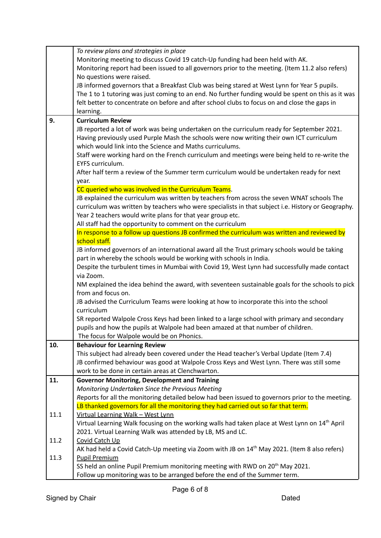|      | To review plans and strategies in place                                                                                                                    |
|------|------------------------------------------------------------------------------------------------------------------------------------------------------------|
|      | Monitoring meeting to discuss Covid 19 catch-Up funding had been held with AK.                                                                             |
|      | Monitoring report had been issued to all governors prior to the meeting. (Item 11.2 also refers)                                                           |
|      | No questions were raised.                                                                                                                                  |
|      | JB informed governors that a Breakfast Club was being stared at West Lynn for Year 5 pupils.                                                               |
|      | The 1 to 1 tutoring was just coming to an end. No further funding would be spent on this as it was                                                         |
|      | felt better to concentrate on before and after school clubs to focus on and close the gaps in                                                              |
|      | learning.                                                                                                                                                  |
| 9.   | <b>Curriculum Review</b>                                                                                                                                   |
|      | JB reported a lot of work was being undertaken on the curriculum ready for September 2021.                                                                 |
|      | Having previously used Purple Mash the schools were now writing their own ICT curriculum                                                                   |
|      | which would link into the Science and Maths curriculums.                                                                                                   |
|      | Staff were working hard on the French curriculum and meetings were being held to re-write the                                                              |
|      | EYFS curriculum.                                                                                                                                           |
|      | After half term a review of the Summer term curriculum would be undertaken ready for next                                                                  |
|      | year.                                                                                                                                                      |
|      | CC queried who was involved in the Curriculum Teams.                                                                                                       |
|      | JB explained the curriculum was written by teachers from across the seven WNAT schools The                                                                 |
|      | curriculum was written by teachers who were specialists in that subject i.e. History or Geography.                                                         |
|      | Year 2 teachers would write plans for that year group etc.                                                                                                 |
|      |                                                                                                                                                            |
|      | All staff had the opportunity to comment on the curriculum<br>In response to a follow up questions JB confirmed the curriculum was written and reviewed by |
|      | school staff.                                                                                                                                              |
|      |                                                                                                                                                            |
|      | JB informed governors of an international award all the Trust primary schools would be taking                                                              |
|      | part in whereby the schools would be working with schools in India.                                                                                        |
|      | Despite the turbulent times in Mumbai with Covid 19, West Lynn had successfully made contact                                                               |
|      | via Zoom.                                                                                                                                                  |
|      | NM explained the idea behind the award, with seventeen sustainable goals for the schools to pick                                                           |
|      | from and focus on.                                                                                                                                         |
|      | JB advised the Curriculum Teams were looking at how to incorporate this into the school                                                                    |
|      | curriculum                                                                                                                                                 |
|      | SR reported Walpole Cross Keys had been linked to a large school with primary and secondary                                                                |
|      | pupils and how the pupils at Walpole had been amazed at that number of children.                                                                           |
|      | The focus for Walpole would be on Phonics.                                                                                                                 |
| 10.  | <b>Behaviour for Learning Review</b>                                                                                                                       |
|      | This subject had already been covered under the Head teacher's Verbal Update (Item 7.4)                                                                    |
|      | JB confirmed behaviour was good at Walpole Cross Keys and West Lynn. There was still some                                                                  |
|      | work to be done in certain areas at Clenchwarton.                                                                                                          |
| 11.  | <b>Governor Monitoring, Development and Training</b>                                                                                                       |
|      | Monitoring Undertaken Since the Previous Meeting                                                                                                           |
|      | Reports for all the monitoring detailed below had been issued to governors prior to the meeting.                                                           |
|      | LB thanked governors for all the monitoring they had carried out so far that term.                                                                         |
| 11.1 | Virtual Learning Walk - West Lynn                                                                                                                          |
|      | Virtual Learning Walk focusing on the working walls had taken place at West Lynn on 14 <sup>th</sup> April                                                 |
|      | 2021. Virtual Learning Walk was attended by LB, MS and LC.                                                                                                 |
| 11.2 | Covid Catch Up                                                                                                                                             |
|      | AK had held a Covid Catch-Up meeting via Zoom with JB on 14 <sup>th</sup> May 2021. (Item 8 also refers)                                                   |
| 11.3 | <b>Pupil Premium</b>                                                                                                                                       |
|      | SS held an online Pupil Premium monitoring meeting with RWD on 20 <sup>th</sup> May 2021.                                                                  |
|      | Follow up monitoring was to be arranged before the end of the Summer term.                                                                                 |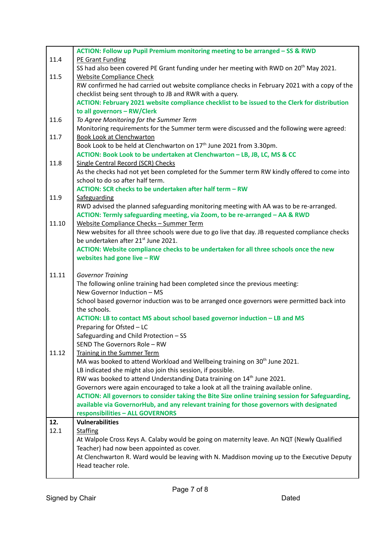|       | ACTION: Follow up Pupil Premium monitoring meeting to be arranged - SS & RWD                                                                       |
|-------|----------------------------------------------------------------------------------------------------------------------------------------------------|
| 11.4  | PE Grant Funding                                                                                                                                   |
|       | SS had also been covered PE Grant funding under her meeting with RWD on 20 <sup>th</sup> May 2021.                                                 |
| 11.5  | <b>Website Compliance Check</b>                                                                                                                    |
|       | RW confirmed he had carried out website compliance checks in February 2021 with a copy of the                                                      |
|       | checklist being sent through to JB and RWR with a query.                                                                                           |
|       | ACTION: February 2021 website compliance checklist to be issued to the Clerk for distribution                                                      |
|       | to all governors - RW/Clerk                                                                                                                        |
| 11.6  | To Agree Monitoring for the Summer Term                                                                                                            |
|       | Monitoring requirements for the Summer term were discussed and the following were agreed:                                                          |
| 11.7  | <b>Book Look at Clenchwarton</b>                                                                                                                   |
|       | Book Look to be held at Clenchwarton on 17 <sup>th</sup> June 2021 from 3.30pm.                                                                    |
|       | ACTION: Book Look to be undertaken at Clenchwarton - LB, JB, LC, MS & CC                                                                           |
| 11.8  | Single Central Record (SCR) Checks                                                                                                                 |
|       | As the checks had not yet been completed for the Summer term RW kindly offered to come into                                                        |
|       | school to do so after half term.                                                                                                                   |
|       | ACTION: SCR checks to be undertaken after half term - RW                                                                                           |
| 11.9  | Safeguarding                                                                                                                                       |
|       | RWD advised the planned safeguarding monitoring meeting with AA was to be re-arranged.                                                             |
|       | ACTION: Termly safeguarding meeting, via Zoom, to be re-arranged - AA & RWD                                                                        |
| 11.10 | Website Compliance Checks - Summer Term                                                                                                            |
|       | New websites for all three schools were due to go live that day. JB requested compliance checks<br>be undertaken after 21 <sup>st</sup> June 2021. |
|       | ACTION: Website compliance checks to be undertaken for all three schools once the new                                                              |
|       | websites had gone live - RW                                                                                                                        |
|       |                                                                                                                                                    |
| 11.11 | <b>Governor Training</b>                                                                                                                           |
|       | The following online training had been completed since the previous meeting:                                                                       |
|       | New Governor Induction - MS                                                                                                                        |
|       | School based governor induction was to be arranged once governors were permitted back into                                                         |
|       | the schools.                                                                                                                                       |
|       | ACTION: LB to contact MS about school based governor induction - LB and MS                                                                         |
|       | Preparing for Ofsted - LC                                                                                                                          |
|       | Safeguarding and Child Protection - SS                                                                                                             |
|       | SEND The Governors Role - RW                                                                                                                       |
| 11.12 | Training in the Summer Term                                                                                                                        |
|       | MA was booked to attend Workload and Wellbeing training on 30 <sup>th</sup> June 2021.                                                             |
|       | LB indicated she might also join this session, if possible.                                                                                        |
|       | RW was booked to attend Understanding Data training on 14 <sup>th</sup> June 2021.                                                                 |
|       | Governors were again encouraged to take a look at all the training available online.                                                               |
|       | ACTION: All governors to consider taking the Bite Size online training session for Safeguarding,                                                   |
|       | available via GovernorHub, and any relevant training for those governors with designated                                                           |
|       | responsibilities - ALL GOVERNORS                                                                                                                   |
| 12.   | <b>Vulnerabilities</b>                                                                                                                             |
| 12.1  | <b>Staffing</b>                                                                                                                                    |
|       | At Walpole Cross Keys A. Calaby would be going on maternity leave. An NQT (Newly Qualified                                                         |
|       | Teacher) had now been appointed as cover.                                                                                                          |
|       | At Clenchwarton R. Ward would be leaving with N. Maddison moving up to the Executive Deputy                                                        |
|       | Head teacher role.                                                                                                                                 |
|       |                                                                                                                                                    |